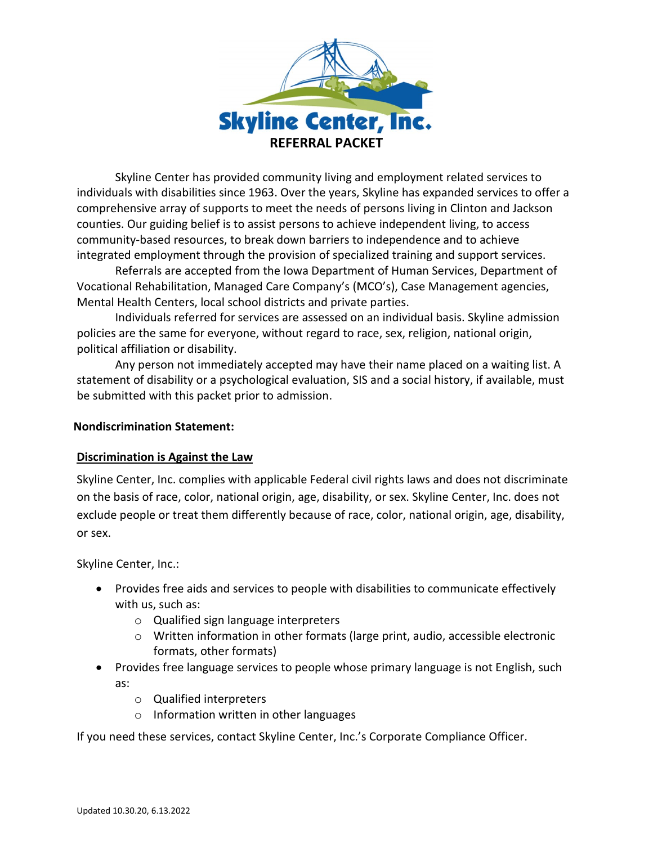

Skyline Center has provided community living and employment related services to individuals with disabilities since 1963. Over the years, Skyline has expanded services to offer a comprehensive array of supports to meet the needs of persons living in Clinton and Jackson counties. Our guiding belief is to assist persons to achieve independent living, to access community-based resources, to break down barriers to independence and to achieve integrated employment through the provision of specialized training and support services.

Referrals are accepted from the Iowa Department of Human Services, Department of Vocational Rehabilitation, Managed Care Company's (MCO's), Case Management agencies, Mental Health Centers, local school districts and private parties.

Individuals referred for services are assessed on an individual basis. Skyline admission policies are the same for everyone, without regard to race, sex, religion, national origin, political affiliation or disability.

Any person not immediately accepted may have their name placed on a waiting list. A statement of disability or a psychological evaluation, SIS and a social history, if available, must be submitted with this packet prior to admission.

## **Nondiscrimination Statement:**

## **Discrimination is Against the Law**

Skyline Center, Inc. complies with applicable Federal civil rights laws and does not discriminate on the basis of race, color, national origin, age, disability, or sex. Skyline Center, Inc. does not exclude people or treat them differently because of race, color, national origin, age, disability, or sex.

Skyline Center, Inc.:

- Provides free aids and services to people with disabilities to communicate effectively with us, such as:
	- o Qualified sign language interpreters
	- $\circ$  Written information in other formats (large print, audio, accessible electronic formats, other formats)
- Provides free language services to people whose primary language is not English, such as:
	- o Qualified interpreters
	- o Information written in other languages

If you need these services, contact Skyline Center, Inc.'s Corporate Compliance Officer.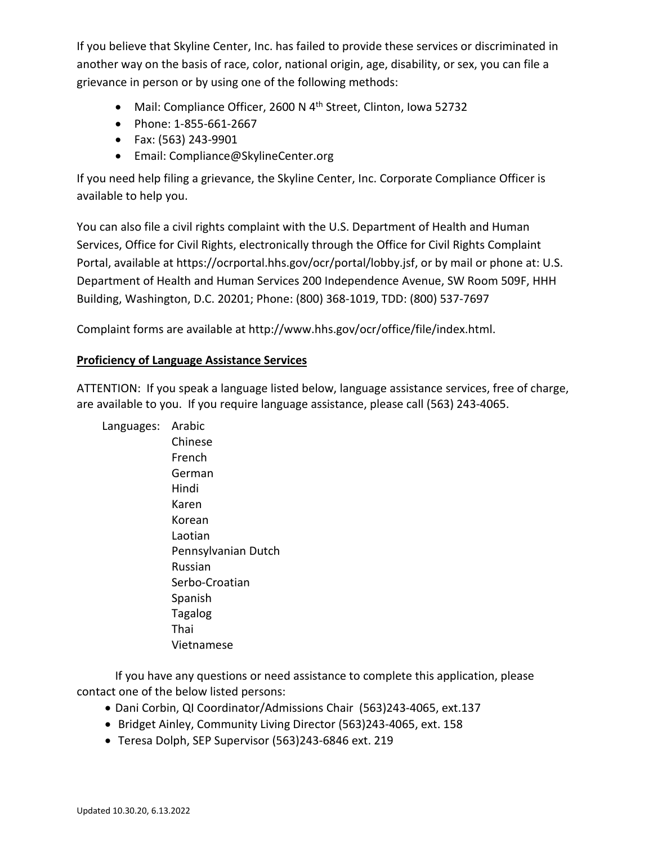If you believe that Skyline Center, Inc. has failed to provide these services or discriminated in another way on the basis of race, color, national origin, age, disability, or sex, you can file a grievance in person or by using one of the following methods:

- Mail: Compliance Officer, 2600 N  $4<sup>th</sup>$  Street, Clinton, Iowa 52732
- Phone: 1-855-661-2667
- Fax: (563) 243-9901
- Email: Compliance@SkylineCenter.org

If you need help filing a grievance, the Skyline Center, Inc. Corporate Compliance Officer is available to help you.

You can also file a civil rights complaint with the U.S. Department of Health and Human Services, Office for Civil Rights, electronically through the Office for Civil Rights Complaint Portal, available at https://ocrportal.hhs.gov/ocr/portal/lobby.jsf, or by mail or phone at: U.S. Department of Health and Human Services 200 Independence Avenue, SW Room 509F, HHH Building, Washington, D.C. 20201; Phone: (800) 368-1019, TDD: (800) 537-7697

Complaint forms are available at http://www.hhs.gov/ocr/office/file/index.html.

## **Proficiency of Language Assistance Services**

ATTENTION: If you speak a language listed below, language assistance services, free of charge, are available to you. If you require language assistance, please call (563) 243-4065.

Languages: Arabic Chinese French German Hindi Karen Korean Laotian Pennsylvanian Dutch Russian Serbo-Croatian Spanish Tagalog Thai Vietnamese

 If you have any questions or need assistance to complete this application, please contact one of the below listed persons:

- Dani Corbin, QI Coordinator/Admissions Chair (563)243-4065, ext.137
- Bridget Ainley, Community Living Director (563)243-4065, ext. 158
- Teresa Dolph, SEP Supervisor (563)243-6846 ext. 219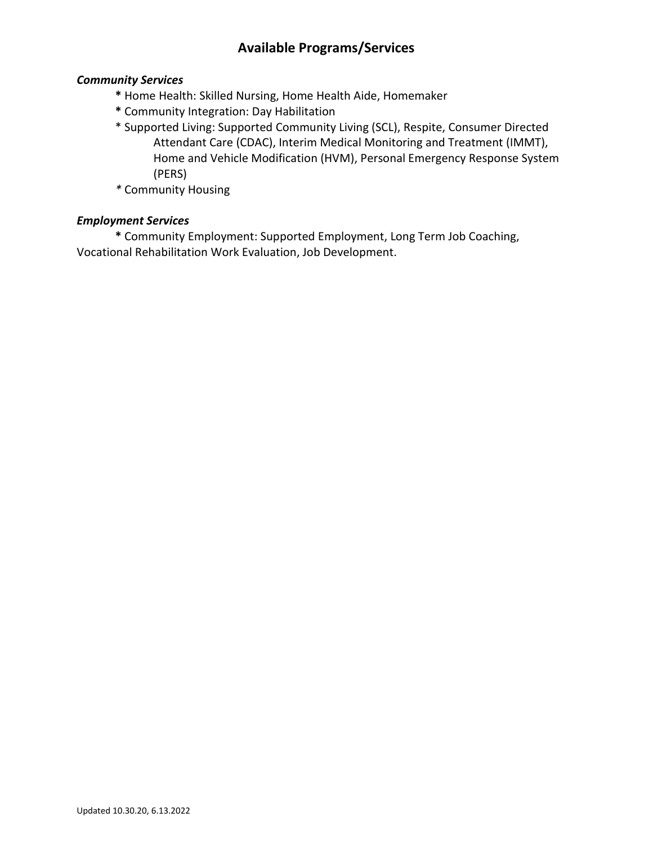# **Available Programs/Services**

## *Community Services*

- **\*** Home Health: Skilled Nursing, Home Health Aide, Homemaker
- **\*** Community Integration: Day Habilitation
- \* Supported Living: Supported Community Living (SCL), Respite, Consumer Directed Attendant Care (CDAC), Interim Medical Monitoring and Treatment (IMMT), Home and Vehicle Modification (HVM), Personal Emergency Response System (PERS)
- *\** Community Housing

## *Employment Services*

**\*** Community Employment: Supported Employment, Long Term Job Coaching, Vocational Rehabilitation Work Evaluation, Job Development.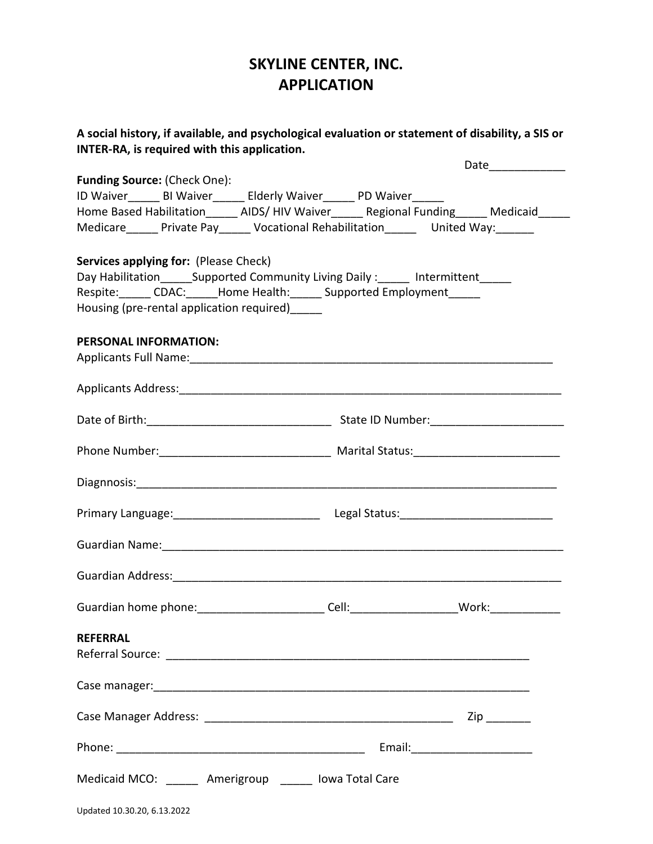# **SKYLINE CENTER, INC. APPLICATION**

| A social history, if available, and psychological evaluation or statement of disability, a SIS or<br>INTER-RA, is required with this application.                                                                  |
|--------------------------------------------------------------------------------------------------------------------------------------------------------------------------------------------------------------------|
| Date_____________                                                                                                                                                                                                  |
| <b>Funding Source: (Check One):</b><br>ID Waiver_______ BI Waiver_______ Elderly Waiver_______ PD Waiver______<br>Home Based Habilitation______ AIDS/ HIV Waiver______ Regional Funding______ Medicaid______       |
| Medicare______ Private Pay______ Vocational Rehabilitation_______ United Way:_______<br>Services applying for: (Please Check)<br>Day Habilitation_______Supported Community Living Daily:_______ Intermittent_____ |
| Respite: _____ CDAC: _____Home Health: _____ Supported Employment _____<br>Housing (pre-rental application required)                                                                                               |
| <b>PERSONAL INFORMATION:</b>                                                                                                                                                                                       |
|                                                                                                                                                                                                                    |
|                                                                                                                                                                                                                    |
|                                                                                                                                                                                                                    |
|                                                                                                                                                                                                                    |
|                                                                                                                                                                                                                    |
| Guardian Name: 1988 - 1989 - 1989 - 1989 - 1989 - 1989 - 1989 - 1989 - 1989 - 1989 - 1989 - 1989 - 1989 - 198                                                                                                      |
|                                                                                                                                                                                                                    |
| Guardian home phone: __________________________Cell: ________________________Work: ________________                                                                                                                |
| <b>REFERRAL</b>                                                                                                                                                                                                    |
|                                                                                                                                                                                                                    |
|                                                                                                                                                                                                                    |
|                                                                                                                                                                                                                    |
| Medicaid MCO: ______ Amerigroup _____ lowa Total Care                                                                                                                                                              |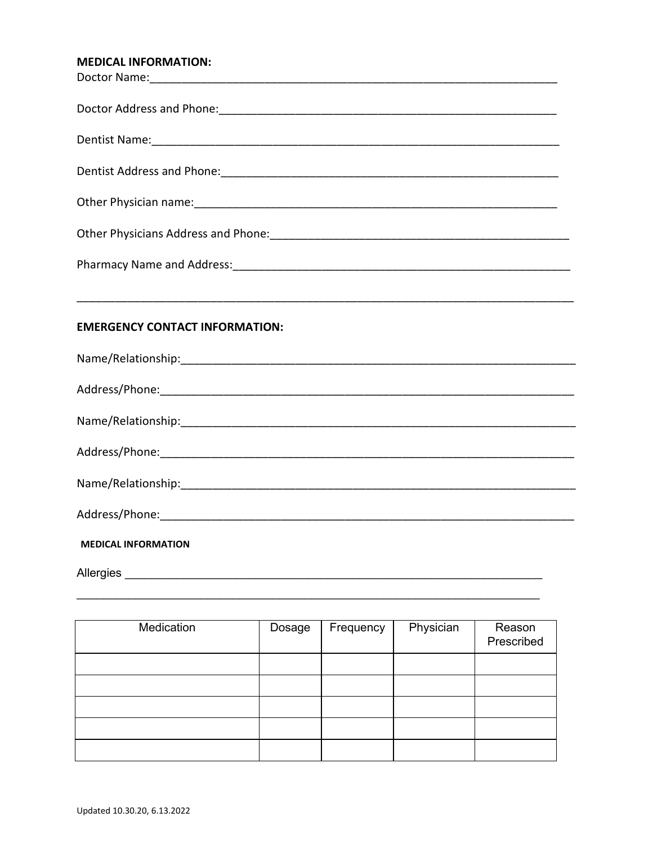## MEDICAL INFORMATION.

| <b>EMERGENCY CONTACT INFORMATION:</b> |
|---------------------------------------|
|                                       |
|                                       |
|                                       |
|                                       |
|                                       |
|                                       |
| <b>MEDICAL INFORMATION</b>            |
|                                       |

| Medication | Dosage | Frequency | Physician | Reason<br>Prescribed |
|------------|--------|-----------|-----------|----------------------|
|            |        |           |           |                      |
|            |        |           |           |                      |
|            |        |           |           |                      |
|            |        |           |           |                      |
|            |        |           |           |                      |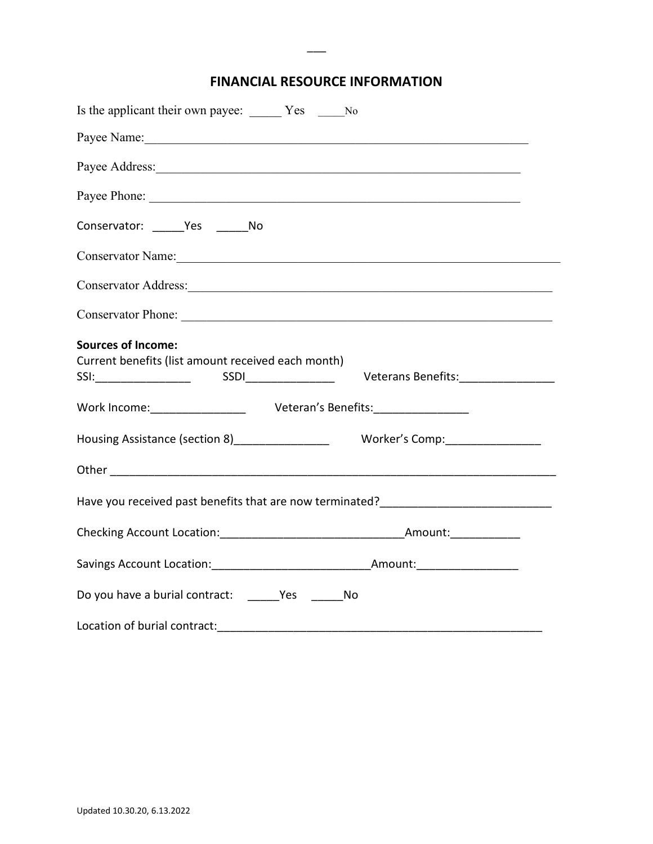# **FINANCIAL RESOURCE INFORMATION**

 $\overline{\phantom{a}}$ 

| Is the applicant their own payee: Ves _______ No                                                                                                                                                                               |  |  |  |
|--------------------------------------------------------------------------------------------------------------------------------------------------------------------------------------------------------------------------------|--|--|--|
| Payee Name: 1988 Manual Manual Manual Manual Manual Manual Manual Manual Manual Manual Manual Manual Manual Ma                                                                                                                 |  |  |  |
|                                                                                                                                                                                                                                |  |  |  |
|                                                                                                                                                                                                                                |  |  |  |
| Conservator: Yes No                                                                                                                                                                                                            |  |  |  |
| Conservator Name: Name and Solid Conservator Name and Solid Conservation of the Conservation of the Conservation of the Conservation of the Conservation of the Conservation of the Conservation of the Conservation of the Co |  |  |  |
| Conservator Address: Universe of Address and Address of Address and Address and Address and Address and Address and Address and Address and Address and Address and Address and Address and Address and Address and Address an |  |  |  |
|                                                                                                                                                                                                                                |  |  |  |
| <b>Sources of Income:</b><br>Current benefits (list amount received each month)<br>Veterans Benefits:________________                                                                                                          |  |  |  |
| Work Income: ___________________ Veteran's Benefits: __________________                                                                                                                                                        |  |  |  |
| Housing Assistance (section 8)_________________<br>Worker's Comp:__________________                                                                                                                                            |  |  |  |
|                                                                                                                                                                                                                                |  |  |  |
| Have you received past benefits that are now terminated?________________________                                                                                                                                               |  |  |  |
|                                                                                                                                                                                                                                |  |  |  |
|                                                                                                                                                                                                                                |  |  |  |
|                                                                                                                                                                                                                                |  |  |  |
| Location of burial contract:                                                                                                                                                                                                   |  |  |  |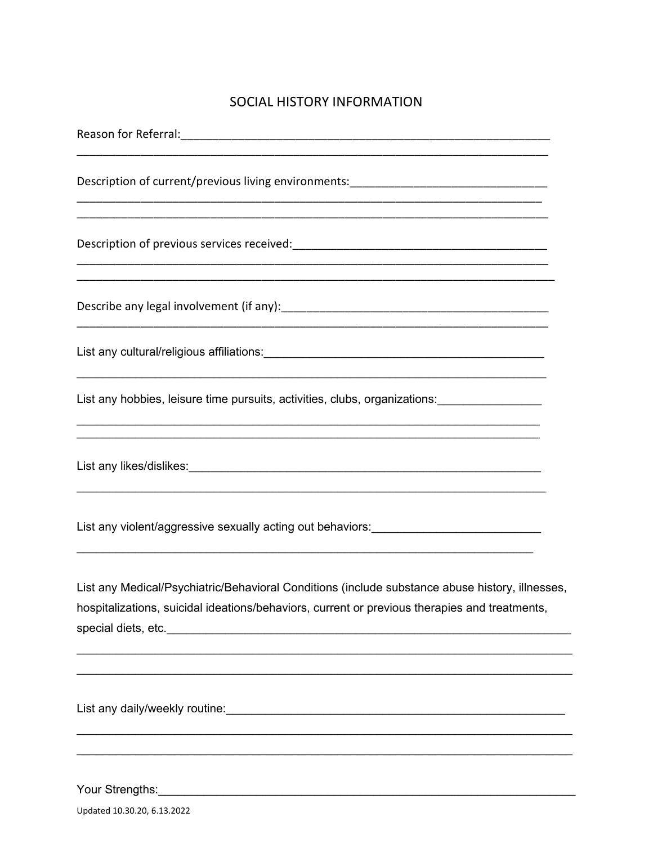# SOCIAL HISTORY INFORMATION

| Description of current/previous living environments:____________________________                                                                                                                                               |
|--------------------------------------------------------------------------------------------------------------------------------------------------------------------------------------------------------------------------------|
|                                                                                                                                                                                                                                |
| <u> 1989 - Jan Barnett, fransk politik (d. 1989)</u>                                                                                                                                                                           |
|                                                                                                                                                                                                                                |
| <u> 1989 - Johann Stoff, deutscher Stoffen und der Stoffen und der Stoffen und der Stoffen und der Stoffen und der</u><br>List any hobbies, leisure time pursuits, activities, clubs, organizations: ________________________  |
| List any likes/dislikes: University of the contract of the contract of the contract of the contract of the contract of the contract of the contract of the contract of the contract of the contract of the contract of the con |
| List any violent/aggressive sexually acting out behaviors: _____________________                                                                                                                                               |
| List any Medical/Psychiatric/Behavioral Conditions (include substance abuse history, illnesses,<br>hospitalizations, suicidal ideations/behaviors, current or previous therapies and treatments,                               |
| List any daily/weekly routine: University of the control of the control of the control of the control of the control of the control of the control of the control of the control of the control of the control of the control  |

Your Strengths: <u>www.common.common.common.common.common.com</u>

Updated 10.30.20, 6.13.2022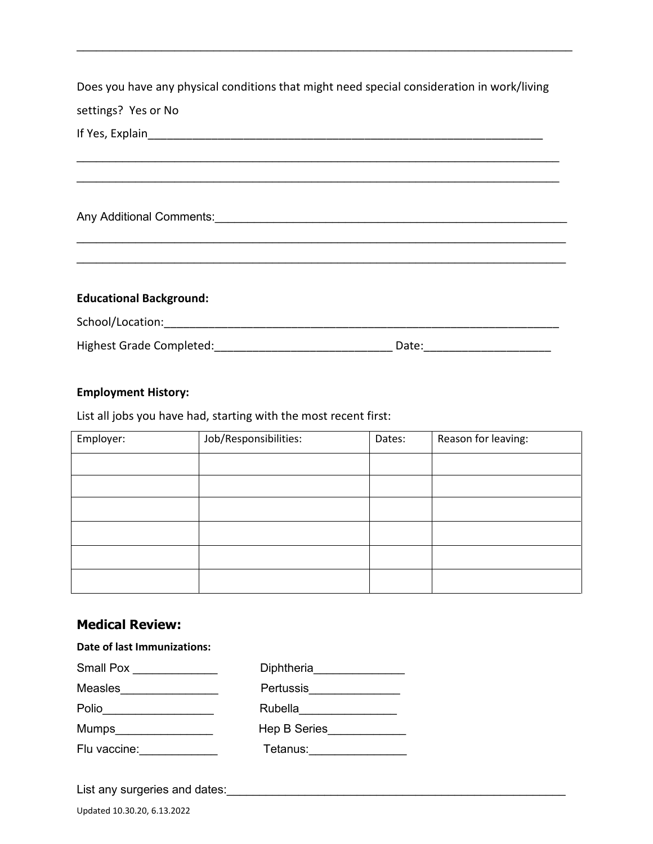Does you have any physical conditions that might need special consideration in work/living settings? Yes or No

 $\_$  , and the set of the set of the set of the set of the set of the set of the set of the set of the set of the set of the set of the set of the set of the set of the set of the set of the set of the set of the set of th \_\_\_\_\_\_\_\_\_\_\_\_\_\_\_\_\_\_\_\_\_\_\_\_\_\_\_\_\_\_\_\_\_\_\_\_\_\_\_\_\_\_\_\_\_\_\_\_\_\_\_\_\_\_\_\_\_\_\_\_\_\_\_\_\_\_\_\_\_\_\_\_\_\_

 $\_$  , and the set of the set of the set of the set of the set of the set of the set of the set of the set of the set of the set of the set of the set of the set of the set of the set of the set of the set of the set of th \_\_\_\_\_\_\_\_\_\_\_\_\_\_\_\_\_\_\_\_\_\_\_\_\_\_\_\_\_\_\_\_\_\_\_\_\_\_\_\_\_\_\_\_\_\_\_\_\_\_\_\_\_\_\_\_\_\_\_\_\_\_\_\_\_\_\_\_\_\_\_\_\_\_\_

 $\mathcal{L}_\text{max}$  , and the contribution of the contribution of the contribution of the contribution of the contribution of the contribution of the contribution of the contribution of the contribution of the contribution of t

If Yes, Explain

Any Additional Comments:\_\_\_\_\_\_\_\_\_\_\_\_\_\_\_\_\_\_\_\_\_\_\_\_\_\_\_\_\_\_\_\_\_\_\_\_\_\_\_\_\_\_\_\_\_\_\_\_\_\_\_\_\_\_

**Educational Background:**

School/Location:\_\_\_\_\_\_\_\_\_\_\_\_\_\_\_\_\_\_\_\_\_\_\_\_\_\_\_\_\_\_\_\_\_\_\_\_\_\_\_\_\_\_\_\_\_\_\_\_\_\_\_\_\_\_\_\_\_\_\_\_\_\_

Highest Grade Completed: \_\_\_\_\_\_\_\_\_\_\_\_\_\_\_\_\_\_\_\_\_\_\_\_\_\_\_\_\_\_\_\_\_\_\_Date: \_\_\_\_\_\_\_\_\_\_\_\_\_\_

#### **Employment History:**

List all jobs you have had, starting with the most recent first:

| Employer: | Job/Responsibilities: | Dates: | Reason for leaving: |
|-----------|-----------------------|--------|---------------------|
|           |                       |        |                     |
|           |                       |        |                     |
|           |                       |        |                     |
|           |                       |        |                     |
|           |                       |        |                     |
|           |                       |        |                     |

## **Medical Review:**

**Date of last Immunizations:**

| Small Pox      | Diphtheria          |
|----------------|---------------------|
| <b>Measles</b> | <b>Pertussis</b>    |
| Polio          | Rubella             |
|                | <b>Hep B Series</b> |
| Flu vaccine:   | Tetanus:            |
|                |                     |

List any surgeries and dates:\_\_\_\_\_\_\_\_\_\_\_\_\_\_\_\_\_\_\_\_\_\_\_\_\_\_\_\_\_\_\_\_\_\_\_\_\_\_\_\_\_\_\_\_\_\_\_\_\_\_\_\_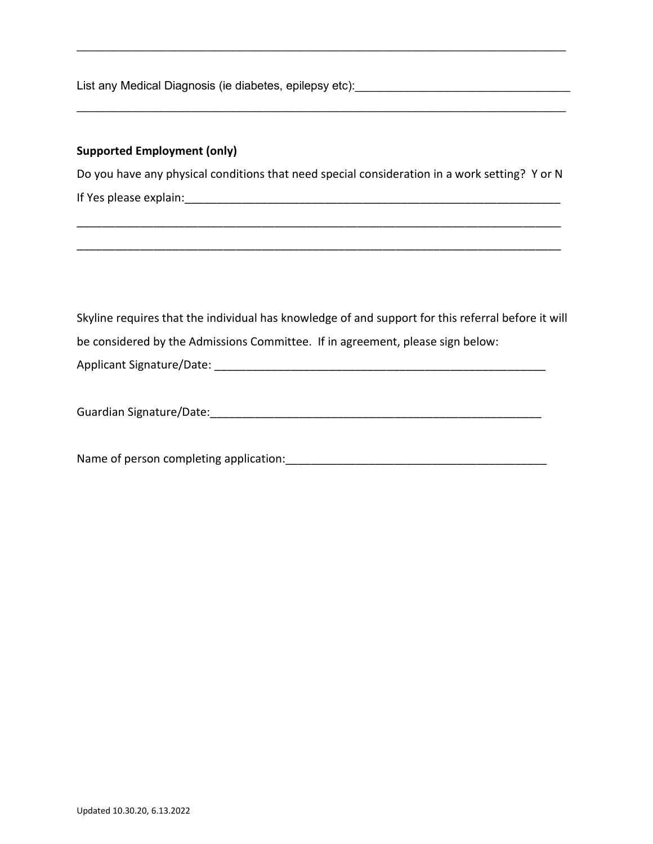List any Medical Diagnosis (ie diabetes, epilepsy etc):

#### **Supported Employment (only)**

Do you have any physical conditions that need special consideration in a work setting? Y or N If Yes please explain:\_\_\_\_\_\_\_\_\_\_\_\_\_\_\_\_\_\_\_\_\_\_\_\_\_\_\_\_\_\_\_\_\_\_\_\_\_\_\_\_\_\_\_\_\_\_\_\_\_\_\_\_\_\_\_\_\_\_\_

\_\_\_\_\_\_\_\_\_\_\_\_\_\_\_\_\_\_\_\_\_\_\_\_\_\_\_\_\_\_\_\_\_\_\_\_\_\_\_\_\_\_\_\_\_\_\_\_\_\_\_\_\_\_\_\_\_\_\_\_\_\_\_\_\_\_\_\_\_\_\_\_\_\_\_\_

\_\_\_\_\_\_\_\_\_\_\_\_\_\_\_\_\_\_\_\_\_\_\_\_\_\_\_\_\_\_\_\_\_\_\_\_\_\_\_\_\_\_\_\_\_\_\_\_\_\_\_\_\_\_\_\_\_\_\_\_\_\_\_\_\_\_\_\_\_\_\_\_\_\_\_\_

 $\mathcal{L}_\text{max}$  , and the set of the set of the set of the set of the set of the set of the set of the set of the set of the set of the set of the set of the set of the set of the set of the set of the set of the set of the

 $\mathcal{L}_\text{max}$  , and the set of the set of the set of the set of the set of the set of the set of the set of the set of the set of the set of the set of the set of the set of the set of the set of the set of the set of the

Skyline requires that the individual has knowledge of and support for this referral before it will be considered by the Admissions Committee. If in agreement, please sign below:

Applicant Signature/Date: \_\_\_\_\_\_\_\_\_\_\_\_\_\_\_\_\_\_\_\_\_\_\_\_\_\_\_\_\_\_\_\_\_\_\_\_\_\_\_\_\_\_\_\_\_\_\_\_\_\_\_\_

| Guardian Signature/Date: |
|--------------------------|
|                          |

Name of person completing application:\_\_\_\_\_\_\_\_\_\_\_\_\_\_\_\_\_\_\_\_\_\_\_\_\_\_\_\_\_\_\_\_\_\_\_\_\_\_\_\_\_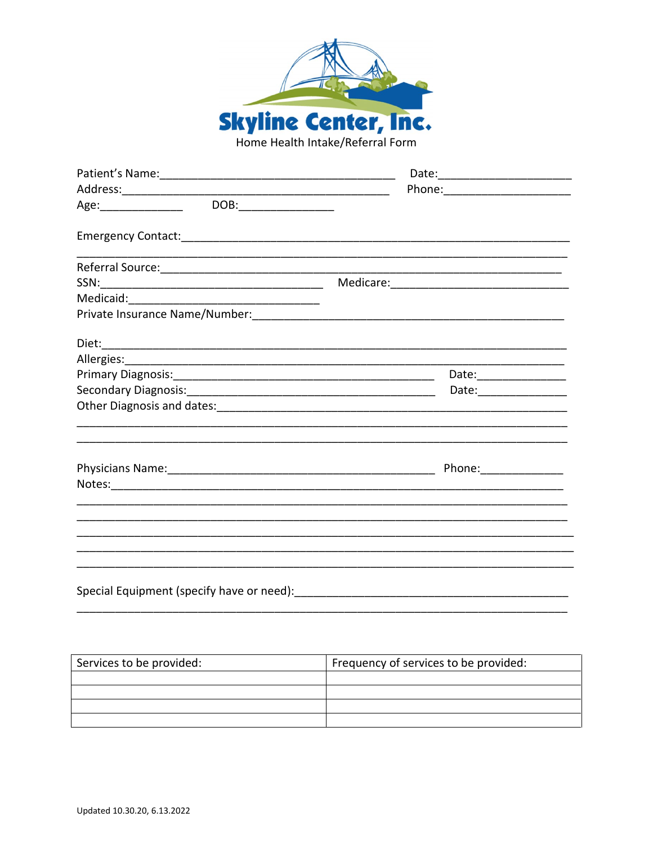

| DOB:__________________<br>Age:_________________ |                                                                                                                       |
|-------------------------------------------------|-----------------------------------------------------------------------------------------------------------------------|
|                                                 |                                                                                                                       |
|                                                 |                                                                                                                       |
|                                                 |                                                                                                                       |
|                                                 |                                                                                                                       |
|                                                 |                                                                                                                       |
|                                                 |                                                                                                                       |
|                                                 |                                                                                                                       |
|                                                 | Date: _________________                                                                                               |
|                                                 | Date:_________________                                                                                                |
|                                                 |                                                                                                                       |
|                                                 |                                                                                                                       |
|                                                 | Phone: _______________                                                                                                |
|                                                 |                                                                                                                       |
|                                                 |                                                                                                                       |
|                                                 | <u> 1989 - Johann Harry Harry Harry Harry Harry Harry Harry Harry Harry Harry Harry Harry Harry Harry Harry Harry</u> |
|                                                 |                                                                                                                       |
|                                                 |                                                                                                                       |
|                                                 |                                                                                                                       |
| Special Equipment (specify have or need):       |                                                                                                                       |

Services to be provided: Frequency of services to be provided: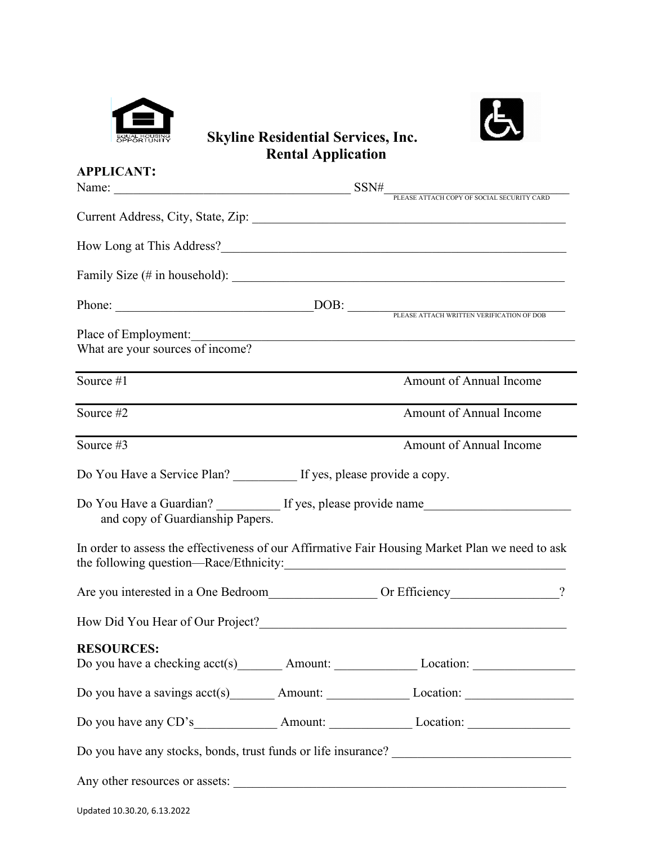



# **Skyline Residential Services, Inc. Rental Application**

| <b>APPLICANT:</b>                                                                                                         |                                            |
|---------------------------------------------------------------------------------------------------------------------------|--------------------------------------------|
| Name: $SSN\#$                                                                                                             | PLEASE ATTACH COPY OF SOCIAL SECURITY CARD |
| Current Address, City, State, Zip: 2008. 2009. 2010. 2010. 2010. 2010. 2010. 2010. 2010. 2010. 2010. 2010. 201            |                                            |
|                                                                                                                           |                                            |
|                                                                                                                           |                                            |
|                                                                                                                           |                                            |
|                                                                                                                           |                                            |
| What are your sources of income?                                                                                          |                                            |
| Source #1                                                                                                                 | Amount of Annual Income                    |
| Source #2                                                                                                                 | Amount of Annual Income                    |
| Source #3                                                                                                                 | Amount of Annual Income                    |
| Do You Have a Service Plan? If yes, please provide a copy.                                                                |                                            |
| Do You Have a Guardian? If yes, please provide name<br>and copy of Guardianship Papers.                                   |                                            |
| In order to assess the effectiveness of our Affirmative Fair Housing Market Plan we need to ask                           |                                            |
| Are you interested in a One Bedroom Or Efficiency 2                                                                       |                                            |
|                                                                                                                           |                                            |
| <b>RESOURCES:</b><br>Do you have a checking acct(s) _________ Amount: ___________________ Location: _____________________ |                                            |
| Do you have a savings $\text{acct}(s)$ Amount: Location: Location:                                                        |                                            |
|                                                                                                                           |                                            |
|                                                                                                                           |                                            |
| Any other resources or assets:                                                                                            |                                            |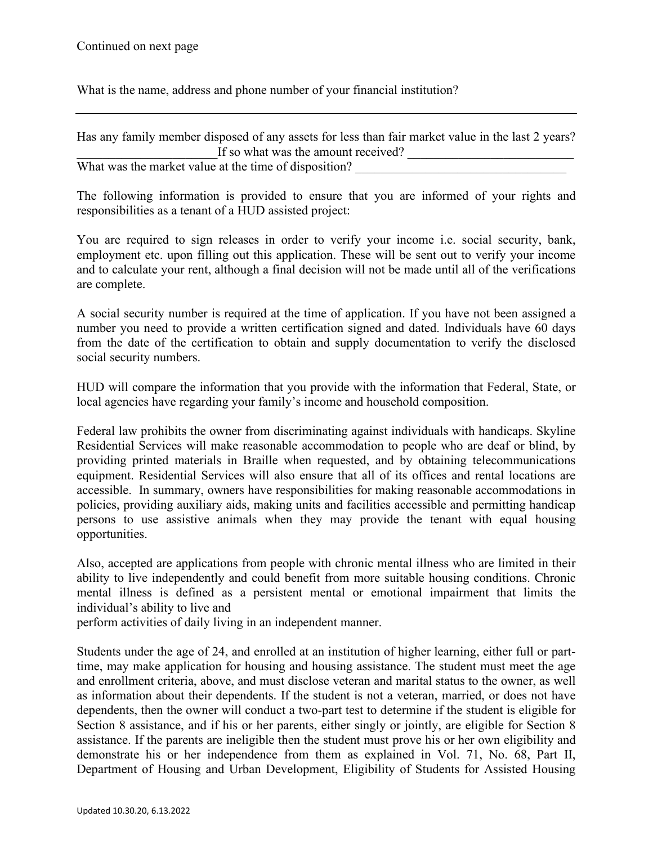What is the name, address and phone number of your financial institution?

| Has any family member disposed of any assets for less than fair market value in the last 2 years? |  |
|---------------------------------------------------------------------------------------------------|--|
| If so what was the amount received?                                                               |  |
| What was the market value at the time of disposition?                                             |  |

The following information is provided to ensure that you are informed of your rights and responsibilities as a tenant of a HUD assisted project:

You are required to sign releases in order to verify your income i.e. social security, bank, employment etc. upon filling out this application. These will be sent out to verify your income and to calculate your rent, although a final decision will not be made until all of the verifications are complete.

A social security number is required at the time of application. If you have not been assigned a number you need to provide a written certification signed and dated. Individuals have 60 days from the date of the certification to obtain and supply documentation to verify the disclosed social security numbers.

HUD will compare the information that you provide with the information that Federal, State, or local agencies have regarding your family's income and household composition.

Federal law prohibits the owner from discriminating against individuals with handicaps. Skyline Residential Services will make reasonable accommodation to people who are deaf or blind, by providing printed materials in Braille when requested, and by obtaining telecommunications equipment. Residential Services will also ensure that all of its offices and rental locations are accessible. In summary, owners have responsibilities for making reasonable accommodations in policies, providing auxiliary aids, making units and facilities accessible and permitting handicap persons to use assistive animals when they may provide the tenant with equal housing opportunities.

Also, accepted are applications from people with chronic mental illness who are limited in their ability to live independently and could benefit from more suitable housing conditions. Chronic mental illness is defined as a persistent mental or emotional impairment that limits the individual's ability to live and

perform activities of daily living in an independent manner.

Students under the age of 24, and enrolled at an institution of higher learning, either full or parttime, may make application for housing and housing assistance. The student must meet the age and enrollment criteria, above, and must disclose veteran and marital status to the owner, as well as information about their dependents. If the student is not a veteran, married, or does not have dependents, then the owner will conduct a two-part test to determine if the student is eligible for Section 8 assistance, and if his or her parents, either singly or jointly, are eligible for Section 8 assistance. If the parents are ineligible then the student must prove his or her own eligibility and demonstrate his or her independence from them as explained in Vol. 71, No. 68, Part II, Department of Housing and Urban Development, Eligibility of Students for Assisted Housing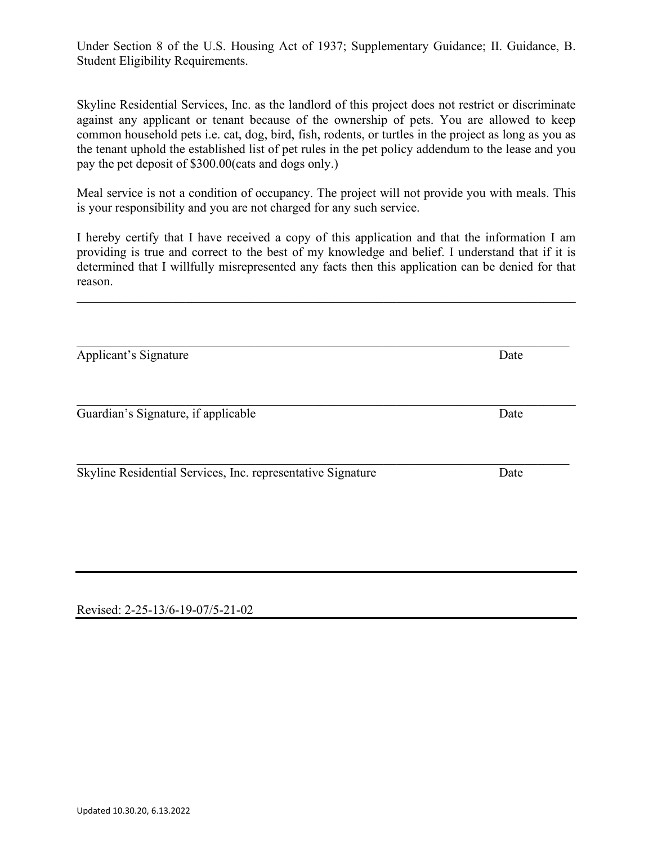Under Section 8 of the U.S. Housing Act of 1937; Supplementary Guidance; II. Guidance, B. Student Eligibility Requirements.

Skyline Residential Services, Inc. as the landlord of this project does not restrict or discriminate against any applicant or tenant because of the ownership of pets. You are allowed to keep common household pets i.e. cat, dog, bird, fish, rodents, or turtles in the project as long as you as the tenant uphold the established list of pet rules in the pet policy addendum to the lease and you pay the pet deposit of \$300.00(cats and dogs only.)

Meal service is not a condition of occupancy. The project will not provide you with meals. This is your responsibility and you are not charged for any such service.

I hereby certify that I have received a copy of this application and that the information I am providing is true and correct to the best of my knowledge and belief. I understand that if it is determined that I willfully misrepresented any facts then this application can be denied for that reason.

\_\_\_\_\_\_\_\_\_\_\_\_\_\_\_\_\_\_\_\_\_\_\_\_\_\_\_\_\_\_\_\_\_\_\_\_\_\_\_\_\_\_\_\_\_\_\_\_\_\_\_\_\_\_\_\_\_\_\_\_\_\_\_\_\_\_\_\_\_\_\_\_\_\_\_\_\_\_

\_\_\_\_\_\_\_\_\_\_\_\_\_\_\_\_\_\_\_\_\_\_\_\_\_\_\_\_\_\_\_\_\_\_\_\_\_\_\_\_\_\_\_\_\_\_\_\_\_\_\_\_\_\_\_\_\_\_\_\_\_\_\_\_\_\_\_\_\_\_\_\_\_\_\_\_\_ Applicant's Signature Date

Guardian's Signature, if applicable Date

Skyline Residential Services, Inc. representative Signature Date

Revised: 2-25-13/6-19-07/5-21-02

\_\_\_\_\_\_\_\_\_\_\_\_\_\_\_\_\_\_\_\_\_\_\_\_\_\_\_\_\_\_\_\_\_\_\_\_\_\_\_\_\_\_\_\_\_\_\_\_\_\_\_\_\_\_\_\_\_\_\_\_\_\_\_\_\_\_\_\_\_\_\_\_\_\_\_\_\_